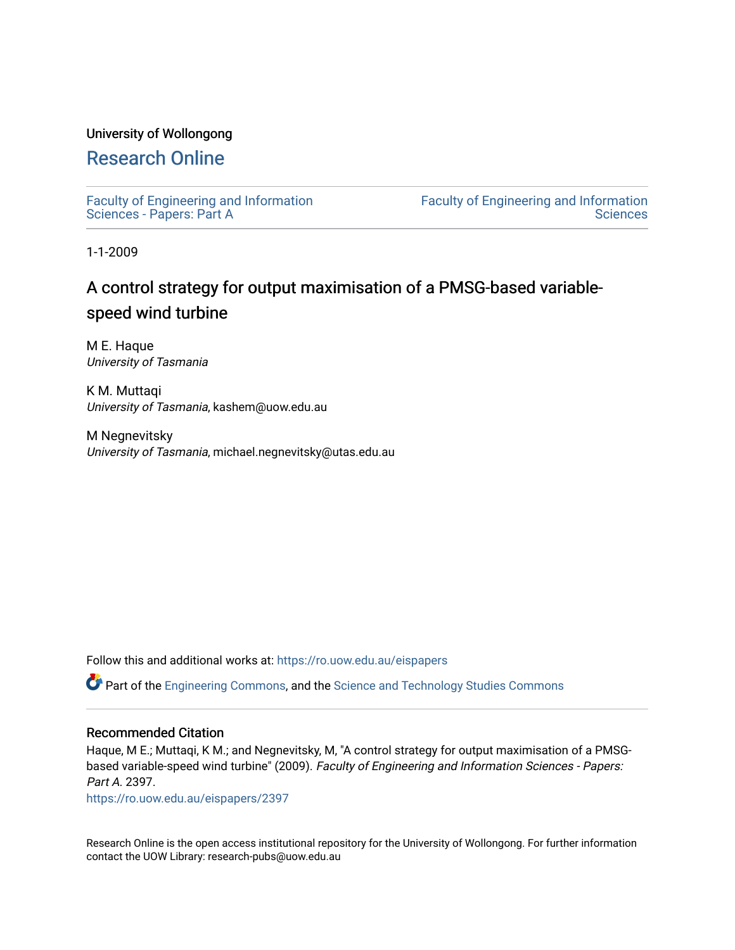### University of Wollongong

## [Research Online](https://ro.uow.edu.au/)

[Faculty of Engineering and Information](https://ro.uow.edu.au/eispapers)  [Sciences - Papers: Part A](https://ro.uow.edu.au/eispapers) 

[Faculty of Engineering and Information](https://ro.uow.edu.au/eis)  **Sciences** 

1-1-2009

## A control strategy for output maximisation of a PMSG-based variablespeed wind turbine

M E. Haque University of Tasmania

K M. Muttaqi University of Tasmania, kashem@uow.edu.au

M Negnevitsky University of Tasmania, michael.negnevitsky@utas.edu.au

Follow this and additional works at: [https://ro.uow.edu.au/eispapers](https://ro.uow.edu.au/eispapers?utm_source=ro.uow.edu.au%2Feispapers%2F2397&utm_medium=PDF&utm_campaign=PDFCoverPages)

Part of the [Engineering Commons](http://network.bepress.com/hgg/discipline/217?utm_source=ro.uow.edu.au%2Feispapers%2F2397&utm_medium=PDF&utm_campaign=PDFCoverPages), and the [Science and Technology Studies Commons](http://network.bepress.com/hgg/discipline/435?utm_source=ro.uow.edu.au%2Feispapers%2F2397&utm_medium=PDF&utm_campaign=PDFCoverPages)

### Recommended Citation

Haque, M E.; Muttaqi, K M.; and Negnevitsky, M, "A control strategy for output maximisation of a PMSGbased variable-speed wind turbine" (2009). Faculty of Engineering and Information Sciences - Papers: Part A. 2397.

[https://ro.uow.edu.au/eispapers/2397](https://ro.uow.edu.au/eispapers/2397?utm_source=ro.uow.edu.au%2Feispapers%2F2397&utm_medium=PDF&utm_campaign=PDFCoverPages) 

Research Online is the open access institutional repository for the University of Wollongong. For further information contact the UOW Library: research-pubs@uow.edu.au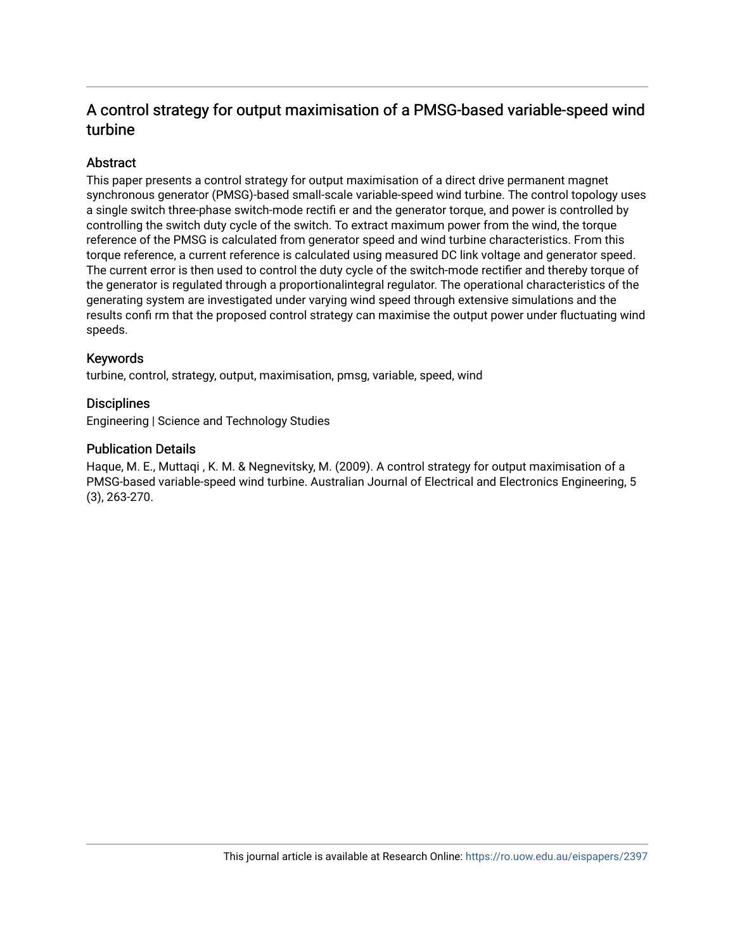## A control strategy for output maximisation of a PMSG-based variable-speed wind turbine

### Abstract

This paper presents a control strategy for output maximisation of a direct drive permanent magnet synchronous generator (PMSG)-based small-scale variable-speed wind turbine. The control topology uses a single switch three-phase switch-mode rectifi er and the generator torque, and power is controlled by controlling the switch duty cycle of the switch. To extract maximum power from the wind, the torque reference of the PMSG is calculated from generator speed and wind turbine characteristics. From this torque reference, a current reference is calculated using measured DC link voltage and generator speed. The current error is then used to control the duty cycle of the switch-mode rectifier and thereby torque of the generator is regulated through a proportionalintegral regulator. The operational characteristics of the generating system are investigated under varying wind speed through extensive simulations and the results confi rm that the proposed control strategy can maximise the output power under fluctuating wind speeds.

### Keywords

turbine, control, strategy, output, maximisation, pmsg, variable, speed, wind

### **Disciplines**

Engineering | Science and Technology Studies

### Publication Details

Haque, M. E., Muttaqi , K. M. & Negnevitsky, M. (2009). A control strategy for output maximisation of a PMSG-based variable-speed wind turbine. Australian Journal of Electrical and Electronics Engineering, 5 (3), 263-270.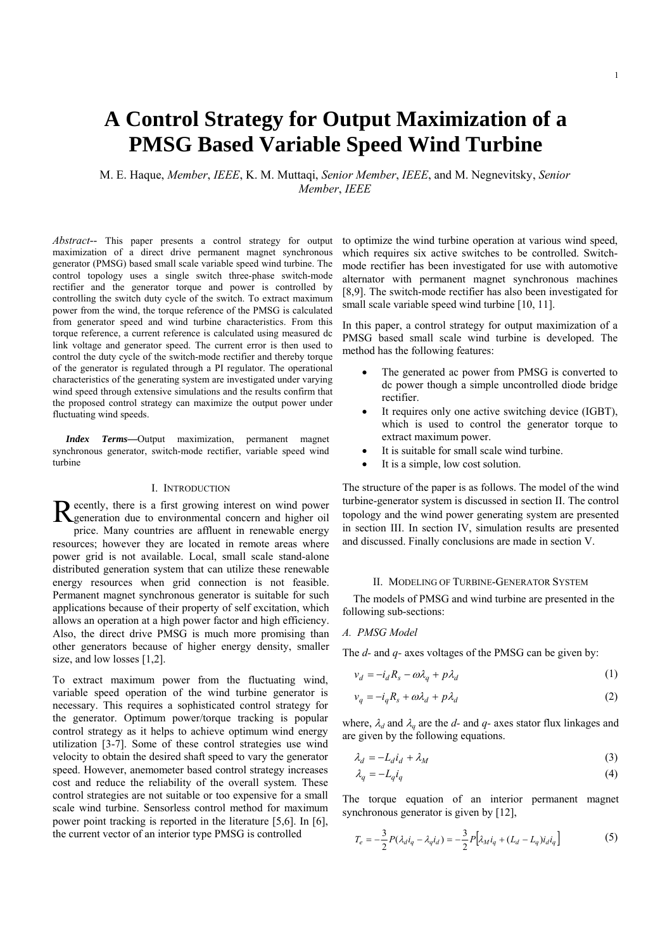# **A Control Strategy for Output Maximization of a PMSG Based Variable Speed Wind Turbine**

M. E. Haque, *Member*, *IEEE*, K. M. Muttaqi, *Senior Member*, *IEEE*, and M. Negnevitsky, *Senior Member*, *IEEE*

*Abstract*-- This paper presents a control strategy for output maximization of a direct drive permanent magnet synchronous generator (PMSG) based small scale variable speed wind turbine. The control topology uses a single switch three-phase switch-mode rectifier and the generator torque and power is controlled by controlling the switch duty cycle of the switch. To extract maximum power from the wind, the torque reference of the PMSG is calculated from generator speed and wind turbine characteristics. From this torque reference, a current reference is calculated using measured dc link voltage and generator speed. The current error is then used to control the duty cycle of the switch-mode rectifier and thereby torque of the generator is regulated through a PI regulator. The operational characteristics of the generating system are investigated under varying wind speed through extensive simulations and the results confirm that the proposed control strategy can maximize the output power under fluctuating wind speeds.

*Index Terms***—**Output maximization, permanent magnet synchronous generator, switch-mode rectifier, variable speed wind turbine

#### I. INTRODUCTION

ecently, there is a first growing interest on wind power Recently, there is a first growing interest on wind power<br>Reperation due to environmental concern and higher oil price. Many countries are affluent in renewable energy resources; however they are located in remote areas where power grid is not available. Local, small scale stand-alone distributed generation system that can utilize these renewable energy resources when grid connection is not feasible. Permanent magnet synchronous generator is suitable for such applications because of their property of self excitation, which allows an operation at a high power factor and high efficiency. Also, the direct drive PMSG is much more promising than other generators because of higher energy density, smaller size, and low losses [1,2].

To extract maximum power from the fluctuating wind, variable speed operation of the wind turbine generator is necessary. This requires a sophisticated control strategy for the generator. Optimum power/torque tracking is popular control strategy as it helps to achieve optimum wind energy utilization [3-7]. Some of these control strategies use wind velocity to obtain the desired shaft speed to vary the generator speed. However, anemometer based control strategy increases cost and reduce the reliability of the overall system. These control strategies are not suitable or too expensive for a small scale wind turbine. Sensorless control method for maximum power point tracking is reported in the literature [5,6]. In [6], the current vector of an interior type PMSG is controlled

to optimize the wind turbine operation at various wind speed, which requires six active switches to be controlled. Switchmode rectifier has been investigated for use with automotive alternator with permanent magnet synchronous machines [8,9]. The switch-mode rectifier has also been investigated for small scale variable speed wind turbine [10, 11].

In this paper, a control strategy for output maximization of a PMSG based small scale wind turbine is developed. The method has the following features:

- The generated ac power from PMSG is converted to dc power though a simple uncontrolled diode bridge rectifier.
- It requires only one active switching device (IGBT), which is used to control the generator torque to extract maximum power.
- It is suitable for small scale wind turbine.
- It is a simple, low cost solution.

The structure of the paper is as follows. The model of the wind turbine-generator system is discussed in section II. The control topology and the wind power generating system are presented in section III. In section IV, simulation results are presented and discussed. Finally conclusions are made in section V.

#### II. MODELING OF TURBINE-GENERATOR SYSTEM

 The models of PMSG and wind turbine are presented in the following sub-sections:

#### *A. PMSG Model*

The *d-* and *q-* axes voltages of the PMSG can be given by:

$$
v_d = -i_d R_s - \omega \lambda_q + p \lambda_d \tag{1}
$$

$$
v_q = -i_q R_s + \omega \lambda_d + p \lambda_d \tag{2}
$$

where,  $\lambda_d$  and  $\lambda_q$  are the *d*- and *q*- axes stator flux linkages and are given by the following equations.

$$
\lambda_d = -L_d i_d + \lambda_M \tag{3}
$$

$$
\lambda_q = -L_q i_q \tag{4}
$$

The torque equation of an interior permanent magnet synchronous generator is given by [12],

$$
T_e = -\frac{3}{2} P(\lambda_d i_q - \lambda_q i_d) = -\frac{3}{2} P[\lambda_M i_q + (L_d - L_q) i_d i_q]
$$
 (5)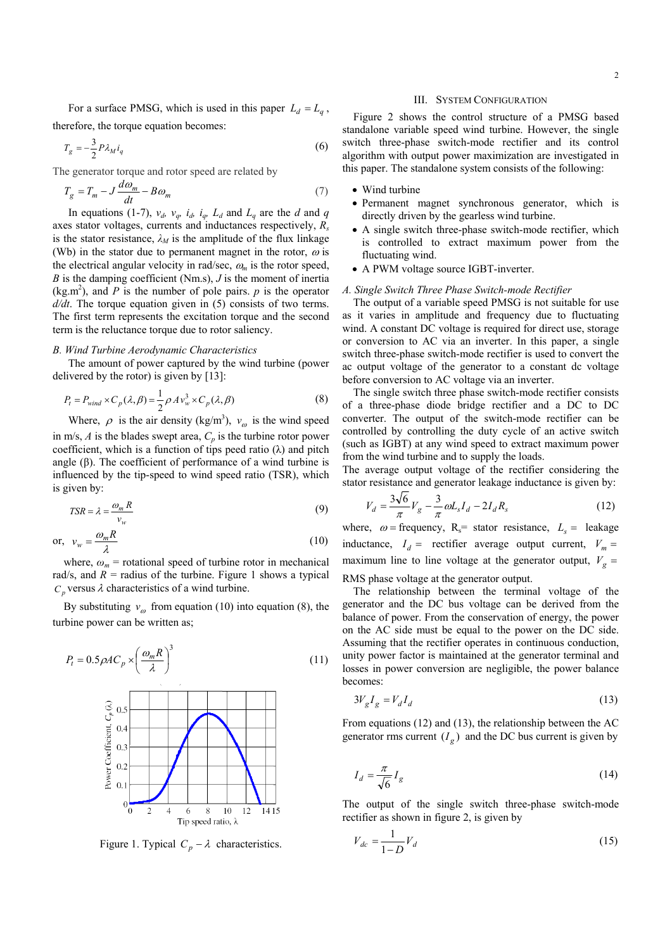For a surface PMSG, which is used in this paper  $L_d = L_a$ , therefore, the torque equation becomes:

$$
T_g = -\frac{3}{2} P \lambda_M i_q \tag{6}
$$

The generator torque and rotor speed are related by

$$
T_g = T_m - J \frac{d\omega_m}{dt} - B\omega_m \tag{7}
$$

In equations (1-7),  $v_d$ ,  $v_q$ ,  $i_d$ ,  $i_q$ ,  $L_d$  and  $L_q$  are the *d* and *q* axes stator voltages, currents and inductances respectively, *Rs* is the stator resistance,  $\lambda_M$  is the amplitude of the flux linkage (Wb) in the stator due to permanent magnet in the rotor,  $\omega$  is the electrical angular velocity in rad/sec,  $\omega_m$  is the rotor speed, *B* is the damping coefficient (Nm.s), *J* is the moment of inertia  $(kg.m<sup>2</sup>)$ , and *P* is the number of pole pairs. *p* is the operator *d/dt*. The torque equation given in (5) consists of two terms. The first term represents the excitation torque and the second term is the reluctance torque due to rotor saliency.

#### *B. Wind Turbine Aerodynamic Characteristics*

The amount of power captured by the wind turbine (power delivered by the rotor) is given by [13]:

$$
P_t = P_{wind} \times C_p(\lambda, \beta) = \frac{1}{2} \rho A v_w^3 \times C_p(\lambda, \beta)
$$
 (8)

Where,  $\rho$  is the air density (kg/m<sup>3</sup>),  $v_{\rho}$  is the wind speed in m/s,  $A$  is the blades swept area,  $C_p$  is the turbine rotor power coefficient, which is a function of tips peed ratio  $(\lambda)$  and pitch angle (β). The coefficient of performance of a wind turbine is influenced by the tip-speed to wind speed ratio (TSR), which is given by:

$$
TSR = \lambda = \frac{\omega_m R}{v_w} \tag{9}
$$

$$
\text{or, } v_w = \frac{\omega_m R}{\lambda} \tag{10}
$$

where,  $\omega_m$  = rotational speed of turbine rotor in mechanical rad/s, and  $R =$  radius of the turbine. Figure 1 shows a typical  $C_p$  versus  $\lambda$  characteristics of a wind turbine.

By substituting  $v_{\omega}$  from equation (10) into equation (8), the turbine power can be written as;

$$
P_t = 0.5 \rho A C_p \times \left(\frac{\omega_m R}{\lambda}\right)^3
$$
(11)  

$$
\underset{\begin{array}{c}\n\text{C}\\
\text{C}\\
\text{C}\\
\text{C}\\
\text{C}\\
\text{C}\\
\text{C}\\
\text{D}\\
\text{D}\\
\text{D}\\
\text{D}\\
\text{D}\\
\text{D}\\
\text{D}\\
\text{D}\\
\text{D}\\
\text{D}\\
\text{D}\\
\text{D}\\
\text{D}\\
\text{D}\\
\text{D}\\
\text{D}\\
\text{D}\\
\text{D}\\
\text{D}\\
\text{D}\\
\text{D}\\
\text{D}\\
\text{D}\\
\text{D}\\
\text{D}\\
\text{D}\\
\text{D}\\
\text{D}\\
\text{D}\\
\text{D}\\
\text{D}\\
\text{D}\\
\text{D}\\
\text{D}\\
\text{D}\\
\text{D}\\
\text{D}\\
\text{D}\\
\text{D}\\
\text{D}\\
\text{D}\\
\text{D}\\
\text{D}\\
\text{D}\\
\text{D}\\
\text{D}\\
\text{D}\\
\text{D}\\
\text{D}\\
\text{D}\\
\text{D}\\
\text{D}\\
\text{D}\\
\text{D}\\
\text{D}\\
\text{D}\\
\text{D}\\
\text{D}\\
\text{D}\\
\text{D}\\
\text{D}\\
\text{D}\\
\text{D}\\
\text{D}\\
\text{D}\\
\text{D}\\
\text{D}\\
\text{D}\\
\text{D}\\
\text{D}\\
\text{D}\\
\text{D}\\
\text{D}\\
\text{D}\\
\text{D}\\
\text{D}\\
\text{D}\\
\text{D}\\
\text{D}\\
\text{D}\\
\text{D}\\
\text{D}\\
\text{D}\\
\text{D}\\
\text{D}\\
\text{D}\\
\text{D}\\
\text{D}\\
\text{D}\\
\text{D}\\
\text{D}\\
\text{D}\\
\text{D}\\
\text{D}\\
\text{D}\\
\text{D}\\
\text{D}\\
\text{D}\\
\text{D}\\
\text{D}\\
\text{D}\\
\text{D}\\
\text{D}\\
\text{D}\\
\text{D}\\
\text{D}\\
\text{D}\\
\text{D}\\
\text{D}\\
\text{D}\\
\text{D}\\
$$

Figure 1. Typical  $C_p - \lambda$  characteristics.

#### III. SYSTEM CONFIGURATION

 Figure 2 shows the control structure of a PMSG based standalone variable speed wind turbine. However, the single switch three-phase switch-mode rectifier and its control algorithm with output power maximization are investigated in this paper. The standalone system consists of the following:

#### • Wind turbine

- Permanent magnet synchronous generator, which is directly driven by the gearless wind turbine.
- A single switch three-phase switch-mode rectifier, which is controlled to extract maximum power from the fluctuating wind.
- A PWM voltage source IGBT-inverter.

#### *A. Single Switch Three Phase Switch-mode Rectifier*

 The output of a variable speed PMSG is not suitable for use as it varies in amplitude and frequency due to fluctuating wind. A constant DC voltage is required for direct use, storage or conversion to AC via an inverter. In this paper, a single switch three-phase switch-mode rectifier is used to convert the ac output voltage of the generator to a constant dc voltage before conversion to AC voltage via an inverter.

 The single switch three phase switch-mode rectifier consists of a three-phase diode bridge rectifier and a DC to DC converter. The output of the switch-mode rectifier can be controlled by controlling the duty cycle of an active switch (such as IGBT) at any wind speed to extract maximum power from the wind turbine and to supply the loads.

The average output voltage of the rectifier considering the stator resistance and generator leakage inductance is given by:

$$
V_d = \frac{3\sqrt{6}}{\pi} V_g - \frac{3}{\pi} \omega L_s I_d - 2I_d R_s \tag{12}
$$

where,  $\omega$  = frequency, R<sub>s</sub>= stator resistance,  $L<sub>s</sub>$  = leakage inductance,  $I_d$  = rectifier average output current,  $V_m$  = maximum line to line voltage at the generator output,  $V_g$  =

RMS phase voltage at the generator output.

 The relationship between the terminal voltage of the generator and the DC bus voltage can be derived from the balance of power. From the conservation of energy, the power on the AC side must be equal to the power on the DC side. Assuming that the rectifier operates in continuous conduction, unity power factor is maintained at the generator terminal and losses in power conversion are negligible, the power balance becomes:

$$
3V_g I_g = V_d I_d \tag{13}
$$

From equations (12) and (13), the relationship between the AC generator rms current  $(I_{\sigma})$  and the DC bus current is given by

$$
I_d = \frac{\pi}{\sqrt{6}} I_g \tag{14}
$$

The output of the single switch three-phase switch-mode rectifier as shown in figure 2, is given by

$$
V_{dc} = \frac{1}{1 - D} V_d \tag{15}
$$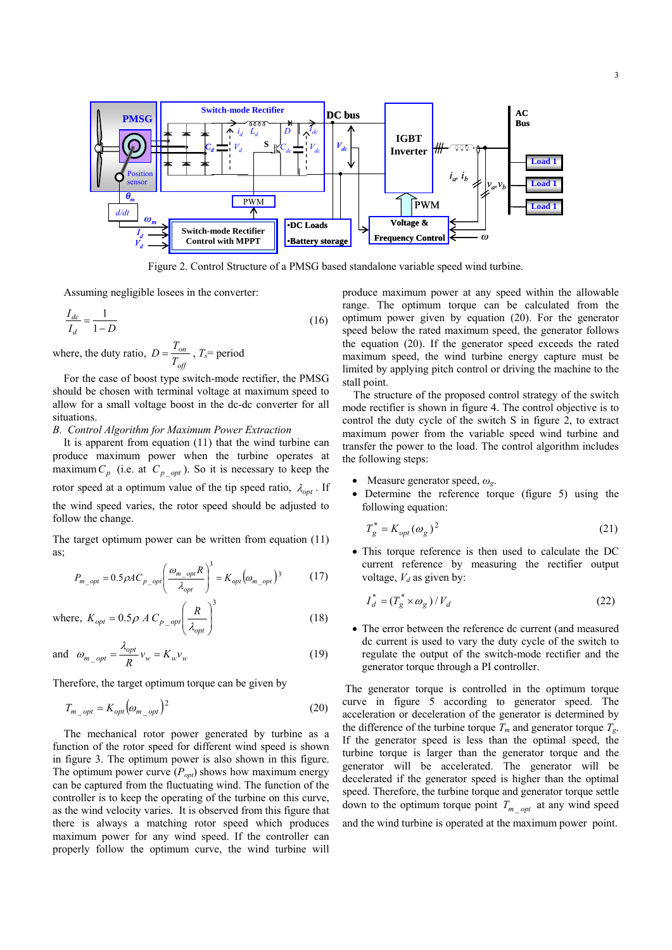

Figure 2. Control Structure of a PMSG based standalone variable speed wind turbine.

Assuming negligible losees in the converter:

$$
\frac{I_{dc}}{I_d} = \frac{1}{1 - D} \tag{16}
$$

where, the duty ratio, *off on T*  $D = \frac{T_{on}}{T}$ ,  $T_s$  period

 For the case of boost type switch-mode rectifier, the PMSG should be chosen with terminal voltage at maximum speed to allow for a small voltage boost in the dc-dc converter for all situations.

#### *B. Control Algorithm for Maximum Power Extraction*

 It is apparent from equation (11) that the wind turbine can produce maximum power when the turbine operates at maximum  $C_p$  (i.e. at  $C_p$  <sub>opt</sub>). So it is necessary to keep the rotor speed at a optimum value of the tip speed ratio,  $\lambda_{opt}$ . If the wind speed varies, the rotor speed should be adjusted to follow the change.

The target optimum power can be written from equation (11) as;

$$
P_{m\_opt} = 0.5 \rho A C_{p\_opt} \left(\frac{\omega_{m\_opt} R}{\lambda_{opt}}\right)^3 = K_{opt} \left(\omega_{m\_opt}\right)^3 \tag{17}
$$

where, 
$$
K_{opt} = 0.5 \rho A C_{p\_opt} \left(\frac{R}{\lambda_{opt}}\right)^3
$$
 (18)

and 
$$
\omega_{m\_opt} = \frac{\lambda_{opt}}{R} v_w = K_w v_w
$$
 (19)

Therefore, the target optimum torque can be given by

$$
T_{m\_opt} = K_{opt} \left( \omega_{m\_opt} \right)^2 \tag{20}
$$

 The mechanical rotor power generated by turbine as a function of the rotor speed for different wind speed is shown in figure 3. The optimum power is also shown in this figure. The optimum power curve  $(P_{opt})$  shows how maximum energy can be captured from the fluctuating wind. The function of the controller is to keep the operating of the turbine on this curve, as the wind velocity varies. It is observed from this figure that there is always a matching rotor speed which produces maximum power for any wind speed. If the controller can properly follow the optimum curve, the wind turbine will

produce maximum power at any speed within the allowable range. The optimum torque can be calculated from the optimum power given by equation (20). For the generator speed below the rated maximum speed, the generator follows the equation (20). If the generator speed exceeds the rated maximum speed, the wind turbine energy capture must be limited by applying pitch control or driving the machine to the stall point.

 The structure of the proposed control strategy of the switch mode rectifier is shown in figure 4. The control objective is to control the duty cycle of the switch S in figure 2, to extract maximum power from the variable speed wind turbine and transfer the power to the load. The control algorithm includes the following steps:

- Measure generator speed, *ωg*.
- Determine the reference torque (figure 5) using the following equation:

$$
T_g^* = K_{opt}(\omega_g)^2 \tag{21}
$$

• This torque reference is then used to calculate the DC current reference by measuring the rectifier output voltage,  $V_d$  as given by:

$$
I_d^* = (T_g^* \times \omega_g) / V_d \tag{22}
$$

• The error between the reference dc current (and measured dc current is used to vary the duty cycle of the switch to regulate the output of the switch-mode rectifier and the generator torque through a PI controller.

 The generator torque is controlled in the optimum torque curve in figure 5 according to generator speed. The acceleration or deceleration of the generator is determined by the difference of the turbine torque  $T_m$  and generator torque  $T_g$ . If the generator speed is less than the optimal speed, the turbine torque is larger than the generator torque and the generator will be accelerated. The generator will be decelerated if the generator speed is higher than the optimal speed. Therefore, the turbine torque and generator torque settle down to the optimum torque point  $T_{m}$   $_{opt}$  at any wind speed and the wind turbine is operated at the maximum power point.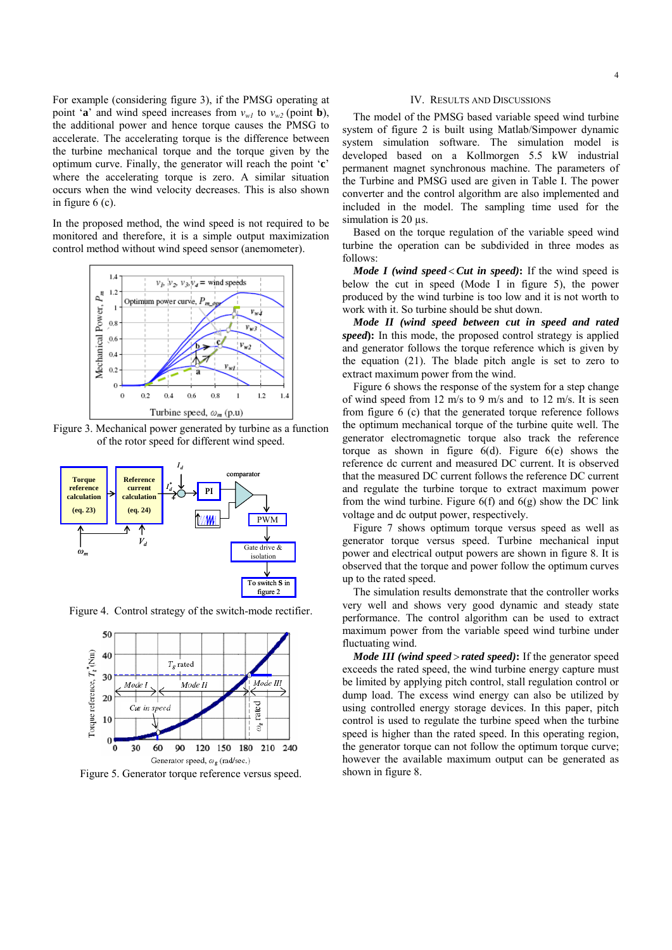For example (considering figure 3), if the PMSG operating at point '**a**' and wind speed increases from  $v_{w1}$  to  $v_{w2}$  (point **b**), the additional power and hence torque causes the PMSG to accelerate. The accelerating torque is the difference between the turbine mechanical torque and the torque given by the optimum curve. Finally, the generator will reach the point '**c**' where the accelerating torque is zero. A similar situation occurs when the wind velocity decreases. This is also shown in figure 6 (c).

In the proposed method, the wind speed is not required to be monitored and therefore, it is a simple output maximization control method without wind speed sensor (anemometer).



Figure 3. Mechanical power generated by turbine as a function of the rotor speed for different wind speed.



Figure 4. Control strategy of the switch-mode rectifier.



Figure 5. Generator torque reference versus speed.

#### IV. RESULTS AND DISCUSSIONS

 The model of the PMSG based variable speed wind turbine system of figure 2 is built using Matlab/Simpower dynamic system simulation software. The simulation model is developed based on a Kollmorgen 5.5 kW industrial permanent magnet synchronous machine. The parameters of the Turbine and PMSG used are given in Table I. The power converter and the control algorithm are also implemented and included in the model. The sampling time used for the simulation is 20  $\mu$ s.

 Based on the torque regulation of the variable speed wind turbine the operation can be subdivided in three modes as follows:

*Mode I (wind speed < Cut in speed)*: If the wind speed is below the cut in speed (Mode I in figure 5), the power produced by the wind turbine is too low and it is not worth to work with it. So turbine should be shut down.

 *Mode II (wind speed between cut in speed and rated speed*): In this mode, the proposed control strategy is applied and generator follows the torque reference which is given by the equation (21). The blade pitch angle is set to zero to extract maximum power from the wind.

 Figure 6 shows the response of the system for a step change of wind speed from 12 m/s to 9 m/s and to 12 m/s. It is seen from figure 6 (c) that the generated torque reference follows the optimum mechanical torque of the turbine quite well. The generator electromagnetic torque also track the reference torque as shown in figure  $6(d)$ . Figure  $6(e)$  shows the reference dc current and measured DC current. It is observed that the measured DC current follows the reference DC current and regulate the turbine torque to extract maximum power from the wind turbine. Figure  $6(f)$  and  $6(g)$  show the DC link voltage and dc output power, respectively.

 Figure 7 shows optimum torque versus speed as well as generator torque versus speed. Turbine mechanical input power and electrical output powers are shown in figure 8. It is observed that the torque and power follow the optimum curves up to the rated speed.

 The simulation results demonstrate that the controller works very well and shows very good dynamic and steady state performance. The control algorithm can be used to extract maximum power from the variable speed wind turbine under fluctuating wind.

*Mode III (wind speed > rated speed)*: If the generator speed exceeds the rated speed, the wind turbine energy capture must be limited by applying pitch control, stall regulation control or dump load. The excess wind energy can also be utilized by using controlled energy storage devices. In this paper, pitch control is used to regulate the turbine speed when the turbine speed is higher than the rated speed. In this operating region, the generator torque can not follow the optimum torque curve; however the available maximum output can be generated as shown in figure 8.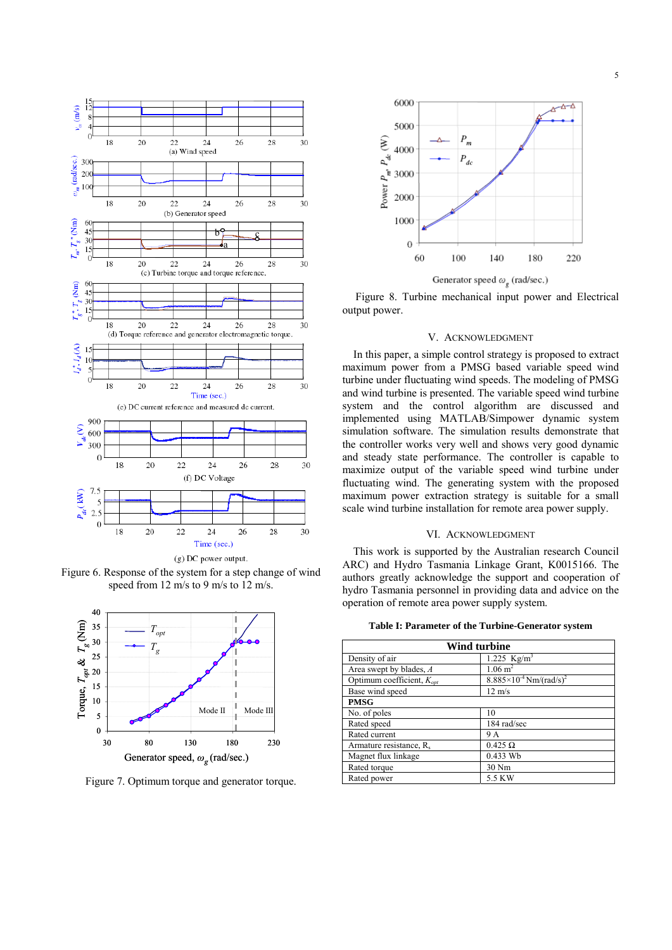



Figure 6. Response of the system for a step change of wind speed from 12 m/s to 9 m/s to 12 m/s.



Figure 7. Optimum torque and generator torque.



Figure 8. Turbine mechanical input power and Electrical output power.

#### V. ACKNOWLEDGMENT

 In this paper, a simple control strategy is proposed to extract maximum power from a PMSG based variable speed wind turbine under fluctuating wind speeds. The modeling of PMSG and wind turbine is presented. The variable speed wind turbine system and the control algorithm are discussed and implemented using MATLAB/Simpower dynamic system simulation software. The simulation results demonstrate that the controller works very well and shows very good dynamic and steady state performance. The controller is capable to maximize output of the variable speed wind turbine under fluctuating wind. The generating system with the proposed maximum power extraction strategy is suitable for a small scale wind turbine installation for remote area power supply.

#### VI. ACKNOWLEDGMENT

 This work is supported by the Australian research Council ARC) and Hydro Tasmania Linkage Grant, K0015166. The authors greatly acknowledge the support and cooperation of hydro Tasmania personnel in providing data and advice on the operation of remote area power supply system.

| Table I: Parameter of the Turbine-Generator system |  |
|----------------------------------------------------|--|
|----------------------------------------------------|--|

| Wind turbine                          |                                                |
|---------------------------------------|------------------------------------------------|
| Density of air                        | $1.225$ Kg/m <sup>3</sup>                      |
| Area swept by blades, A               | $1.06 \text{ m}^2$                             |
| Optimum coefficient, $K_{\text{out}}$ | $8.885 \times 10^{-4}$ Nm/(rad/s) <sup>2</sup> |
| Base wind speed                       | $12 \text{ m/s}$                               |
| <b>PMSG</b>                           |                                                |
| No. of poles                          | 10                                             |
| Rated speed                           | 184 rad/sec                                    |
| Rated current                         | 9 A                                            |
| Armature resistance, R <sub>s</sub>   | $0.425 \Omega$                                 |
| Magnet flux linkage                   | $0.433$ Wb                                     |
| Rated torque                          | 30 Nm                                          |
| Rated power                           | 5.5 KW                                         |